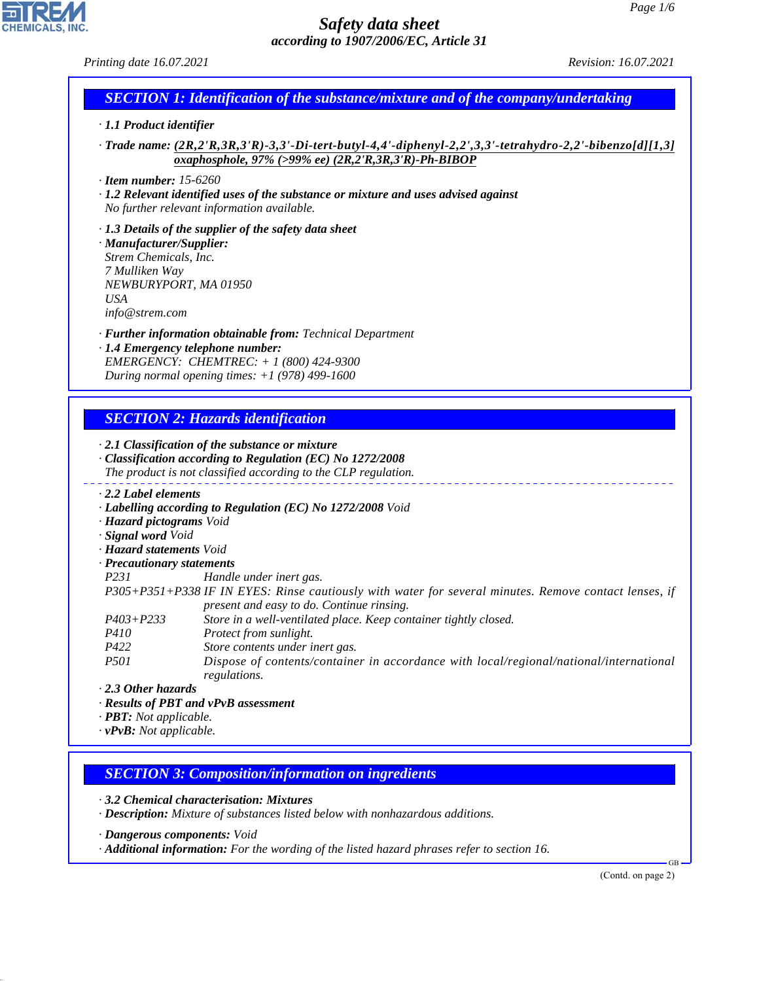*Printing date 16.07.2021 Revision: 16.07.2021*

# *SECTION 1: Identification of the substance/mixture and of the company/undertaking*

# *· 1.1 Product identifier*

*· Trade name: (2R,2'R,3R,3'R)-3,3'-Di-tert-butyl-4,4'-diphenyl-2,2',3,3'-tetrahydro-2,2'-bibenzo[d][1,3] oxaphosphole, 97% (>99% ee) (2R,2'R,3R,3'R)-Ph-BIBOP*

*· Item number: 15-6260*

*· 1.2 Relevant identified uses of the substance or mixture and uses advised against No further relevant information available.*

*· 1.3 Details of the supplier of the safety data sheet · Manufacturer/Supplier: Strem Chemicals, Inc. 7 Mulliken Way NEWBURYPORT, MA 01950 USA info@strem.com*

*· Further information obtainable from: Technical Department · 1.4 Emergency telephone number: EMERGENCY: CHEMTREC: + 1 (800) 424-9300*

*During normal opening times: +1 (978) 499-1600*

# *SECTION 2: Hazards identification*

*· 2.1 Classification of the substance or mixture · Classification according to Regulation (EC) No 1272/2008 The product is not classified according to the CLP regulation.*

*· 2.2 Label elements*

*· Labelling according to Regulation (EC) No 1272/2008 Void*

- *· Hazard pictograms Void*
- *· Signal word Void*
- *· Hazard statements Void*
- *· Precautionary statements*

*P231 Handle under inert gas.*

*P305+P351+P338 IF IN EYES: Rinse cautiously with water for several minutes. Remove contact lenses, if present and easy to do. Continue rinsing.*

- *P403+P233 Store in a well-ventilated place. Keep container tightly closed.*
- *P410 Protect from sunlight.*
- *P422 Store contents under inert gas.*
- *P501 Dispose of contents/container in accordance with local/regional/national/international regulations.*

#### *· 2.3 Other hazards*

44.1.1

- *· Results of PBT and vPvB assessment*
- *· PBT: Not applicable.*
- *· vPvB: Not applicable.*

# *SECTION 3: Composition/information on ingredients*

*· 3.2 Chemical characterisation: Mixtures*

*· Description: Mixture of substances listed below with nonhazardous additions.*

*· Dangerous components: Void*

*· Additional information: For the wording of the listed hazard phrases refer to section 16.*

(Contd. on page 2)

GB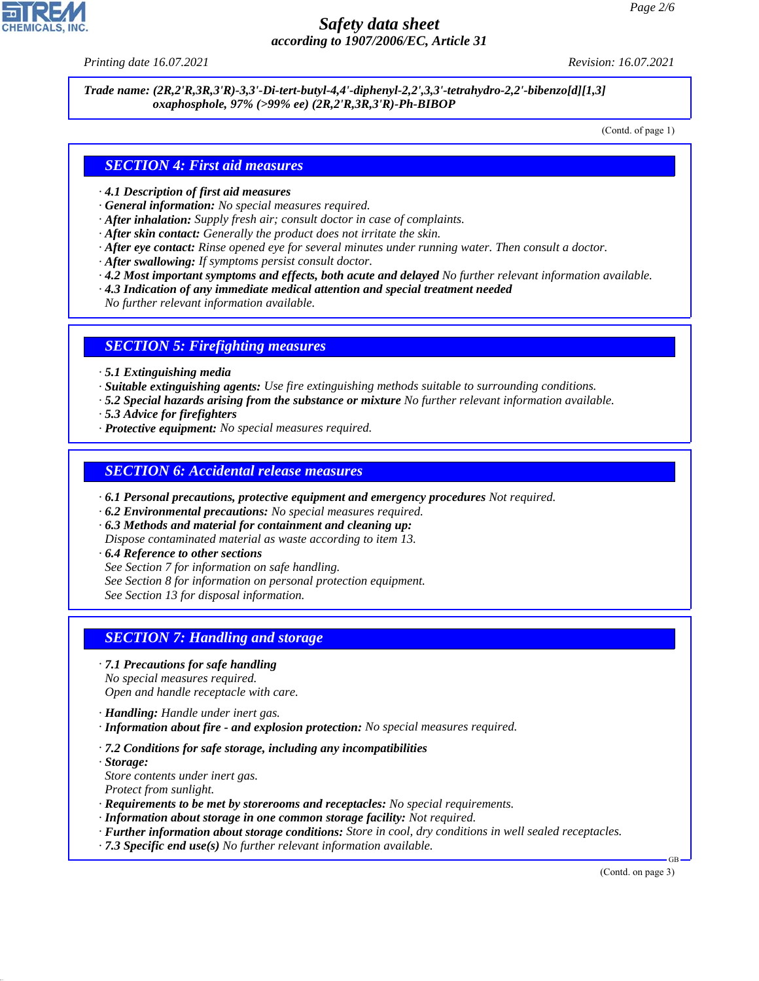*Printing date 16.07.2021 Revision: 16.07.2021*

*Trade name: (2R,2'R,3R,3'R)-3,3'-Di-tert-butyl-4,4'-diphenyl-2,2',3,3'-tetrahydro-2,2'-bibenzo[d][1,3] oxaphosphole, 97% (>99% ee) (2R,2'R,3R,3'R)-Ph-BIBOP*

(Contd. of page 1)

### *SECTION 4: First aid measures*

- *· 4.1 Description of first aid measures*
- *· General information: No special measures required.*
- *· After inhalation: Supply fresh air; consult doctor in case of complaints.*
- *· After skin contact: Generally the product does not irritate the skin.*
- *· After eye contact: Rinse opened eye for several minutes under running water. Then consult a doctor.*
- *· After swallowing: If symptoms persist consult doctor.*
- *· 4.2 Most important symptoms and effects, both acute and delayed No further relevant information available.*
- *· 4.3 Indication of any immediate medical attention and special treatment needed*
- *No further relevant information available.*

#### *SECTION 5: Firefighting measures*

- *· 5.1 Extinguishing media*
- *· Suitable extinguishing agents: Use fire extinguishing methods suitable to surrounding conditions.*
- *· 5.2 Special hazards arising from the substance or mixture No further relevant information available.*
- *· 5.3 Advice for firefighters*
- *· Protective equipment: No special measures required.*

#### *SECTION 6: Accidental release measures*

- *· 6.1 Personal precautions, protective equipment and emergency procedures Not required.*
- *· 6.2 Environmental precautions: No special measures required.*
- *· 6.3 Methods and material for containment and cleaning up:*

*Dispose contaminated material as waste according to item 13.*

- *· 6.4 Reference to other sections*
- *See Section 7 for information on safe handling.*
- *See Section 8 for information on personal protection equipment.*

*See Section 13 for disposal information.*

# *SECTION 7: Handling and storage*

*· 7.1 Precautions for safe handling*

*No special measures required. Open and handle receptacle with care.*

- *· Handling: Handle under inert gas.*
- *· Information about fire and explosion protection: No special measures required.*
- *· 7.2 Conditions for safe storage, including any incompatibilities*
- *· Storage: Store contents under inert gas.*

44.1.1

- *Protect from sunlight.*
- *· Requirements to be met by storerooms and receptacles: No special requirements.*
- *· Information about storage in one common storage facility: Not required.*
- *· Further information about storage conditions: Store in cool, dry conditions in well sealed receptacles.*
- *· 7.3 Specific end use(s) No further relevant information available.*

(Contd. on page 3)

GB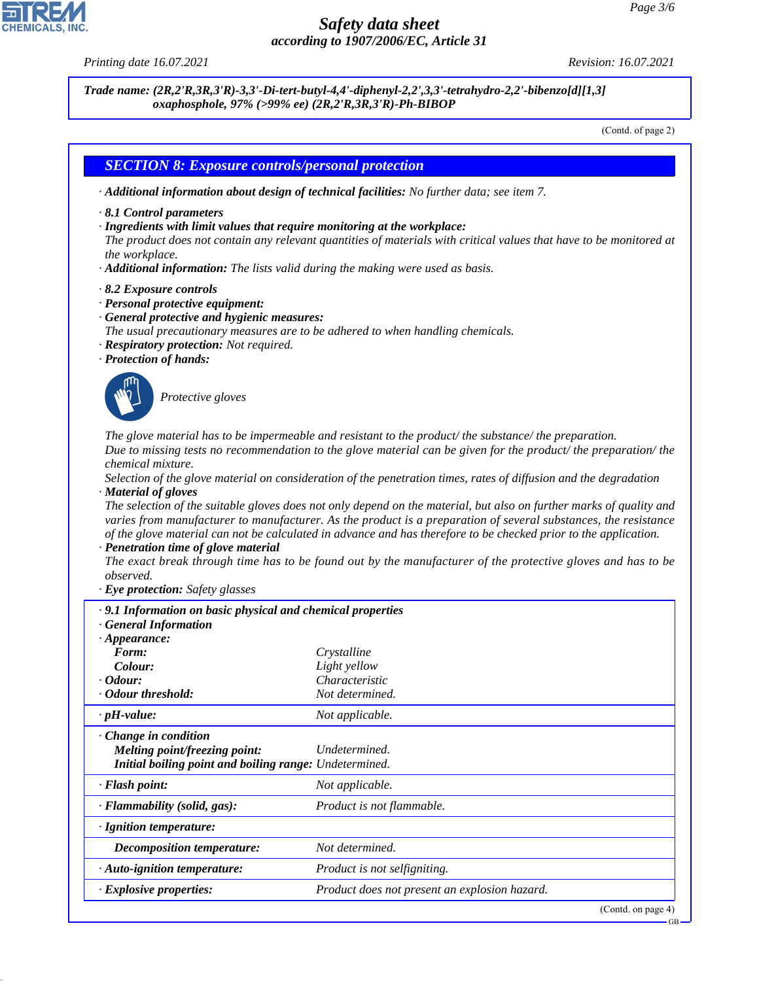

44.1.1

*Printing date 16.07.2021 Revision: 16.07.2021*

*Trade name: (2R,2'R,3R,3'R)-3,3'-Di-tert-butyl-4,4'-diphenyl-2,2',3,3'-tetrahydro-2,2'-bibenzo[d][1,3] oxaphosphole, 97% (>99% ee) (2R,2'R,3R,3'R)-Ph-BIBOP*

(Contd. of page 2)

### *SECTION 8: Exposure controls/personal protection*

- *· Additional information about design of technical facilities: No further data; see item 7.*
- *· 8.1 Control parameters*
- *· Ingredients with limit values that require monitoring at the workplace:*

*The product does not contain any relevant quantities of materials with critical values that have to be monitored at the workplace.*

- *· Additional information: The lists valid during the making were used as basis.*
- *· 8.2 Exposure controls*
- *· Personal protective equipment:*
- *· General protective and hygienic measures:*
- *The usual precautionary measures are to be adhered to when handling chemicals.*
- *· Respiratory protection: Not required.*
- *· Protection of hands:*



\_S*Protective gloves*

*The glove material has to be impermeable and resistant to the product/ the substance/ the preparation. Due to missing tests no recommendation to the glove material can be given for the product/ the preparation/ the chemical mixture.*

*Selection of the glove material on consideration of the penetration times, rates of diffusion and the degradation · Material of gloves*

*The selection of the suitable gloves does not only depend on the material, but also on further marks of quality and varies from manufacturer to manufacturer. As the product is a preparation of several substances, the resistance of the glove material can not be calculated in advance and has therefore to be checked prior to the application.*

#### *· Penetration time of glove material*

*The exact break through time has to be found out by the manufacturer of the protective gloves and has to be observed.*

*· Eye protection: Safety glasses*

| $\cdot$ 9.1 Information on basic physical and chemical properties<br><b>General Information</b>                        |                                               |
|------------------------------------------------------------------------------------------------------------------------|-----------------------------------------------|
| $\cdot$ Appearance:                                                                                                    |                                               |
| Form:                                                                                                                  | Crystalline                                   |
| Colour:                                                                                                                | Light yellow                                  |
| <i>Codour:</i>                                                                                                         | Characteristic                                |
| · Odour threshold:                                                                                                     | Not determined.                               |
| $\cdot$ pH-value:                                                                                                      | Not applicable.                               |
| $\cdot$ Change in condition<br>Melting point/freezing point:<br>Initial boiling point and boiling range: Undetermined. | Undetermined.                                 |
| $\cdot$ Flash point:                                                                                                   | Not applicable.                               |
| $\cdot$ Flammability (solid, gas):                                                                                     | Product is not flammable.                     |
| · Ignition temperature:                                                                                                |                                               |
| <i>Decomposition temperature:</i>                                                                                      | Not determined.                               |
| · Auto-ignition temperature:                                                                                           | Product is not selfigniting.                  |
| $\cdot$ Explosive properties:                                                                                          | Product does not present an explosion hazard. |
|                                                                                                                        | (Contd. on page 4)                            |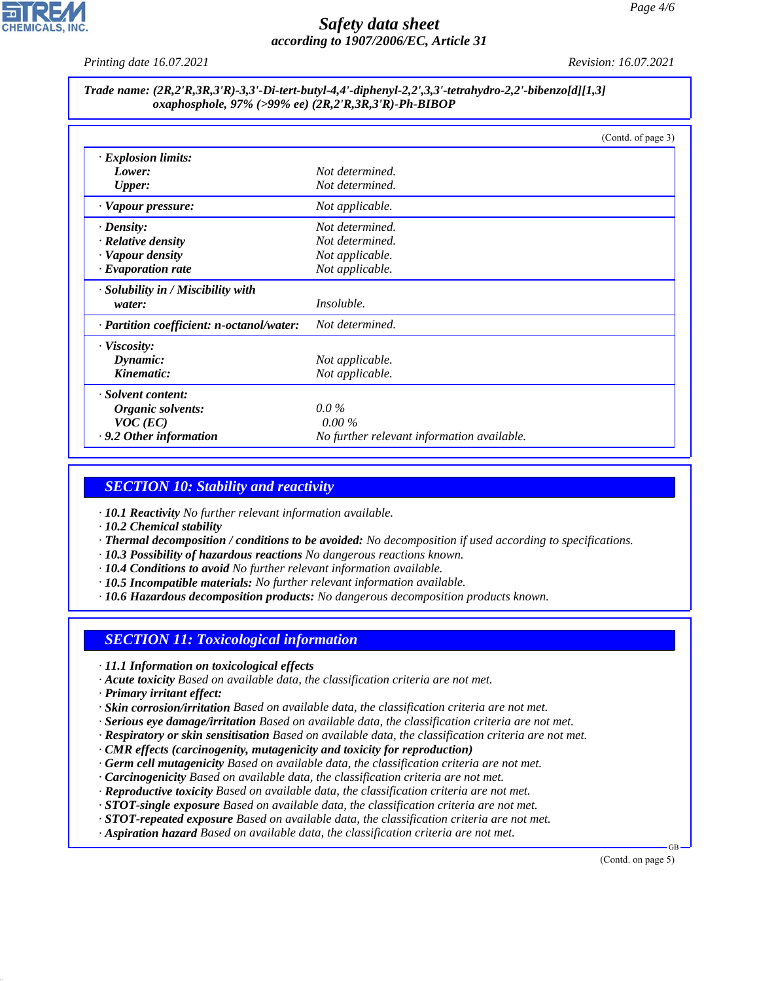

*Printing date 16.07.2021 Revision: 16.07.2021*

#### *Trade name: (2R,2'R,3R,3'R)-3,3'-Di-tert-butyl-4,4'-diphenyl-2,2',3,3'-tetrahydro-2,2'-bibenzo[d][1,3] oxaphosphole, 97% (>99% ee) (2R,2'R,3R,3'R)-Ph-BIBOP*

|                                           | (Contd. of page 3)                         |
|-------------------------------------------|--------------------------------------------|
| · Explosion limits:                       |                                            |
| Lower:                                    | Not determined.                            |
| <b>Upper:</b>                             | Not determined.                            |
| · Vapour pressure:                        | Not applicable.                            |
| $\cdot$ Density:                          | Not determined.                            |
| $\cdot$ Relative density                  | Not determined.                            |
| · Vapour density                          | Not applicable.                            |
| $\cdot$ Evaporation rate                  | Not applicable.                            |
| · Solubility in / Miscibility with        |                                            |
| water:                                    | <i>Insoluble.</i>                          |
| · Partition coefficient: n-octanol/water: | Not determined.                            |
| $\cdot$ Viscosity:                        |                                            |
| Dynamic:                                  | Not applicable.                            |
| Kinematic:                                | Not applicable.                            |
| · Solvent content:                        |                                            |
| Organic solvents:                         | $0.0\%$                                    |
| $VOC$ (EC)                                | $0.00\%$                                   |
| .9.2 Other information                    | No further relevant information available. |

# *SECTION 10: Stability and reactivity*

*· 10.1 Reactivity No further relevant information available.*

*· 10.2 Chemical stability*

- *· Thermal decomposition / conditions to be avoided: No decomposition if used according to specifications.*
- *· 10.3 Possibility of hazardous reactions No dangerous reactions known.*
- *· 10.4 Conditions to avoid No further relevant information available.*
- *· 10.5 Incompatible materials: No further relevant information available.*
- *· 10.6 Hazardous decomposition products: No dangerous decomposition products known.*

# *SECTION 11: Toxicological information*

- *· 11.1 Information on toxicological effects*
- *· Acute toxicity Based on available data, the classification criteria are not met.*
- *· Primary irritant effect:*

44.1.1

- *· Skin corrosion/irritation Based on available data, the classification criteria are not met.*
- *· Serious eye damage/irritation Based on available data, the classification criteria are not met.*
- *· Respiratory or skin sensitisation Based on available data, the classification criteria are not met.*
- *· CMR effects (carcinogenity, mutagenicity and toxicity for reproduction)*
- *· Germ cell mutagenicity Based on available data, the classification criteria are not met.*
- *· Carcinogenicity Based on available data, the classification criteria are not met.*
- *· Reproductive toxicity Based on available data, the classification criteria are not met.*
- *· STOT-single exposure Based on available data, the classification criteria are not met.*
- *· STOT-repeated exposure Based on available data, the classification criteria are not met.*
- *· Aspiration hazard Based on available data, the classification criteria are not met.*

(Contd. on page 5)

GB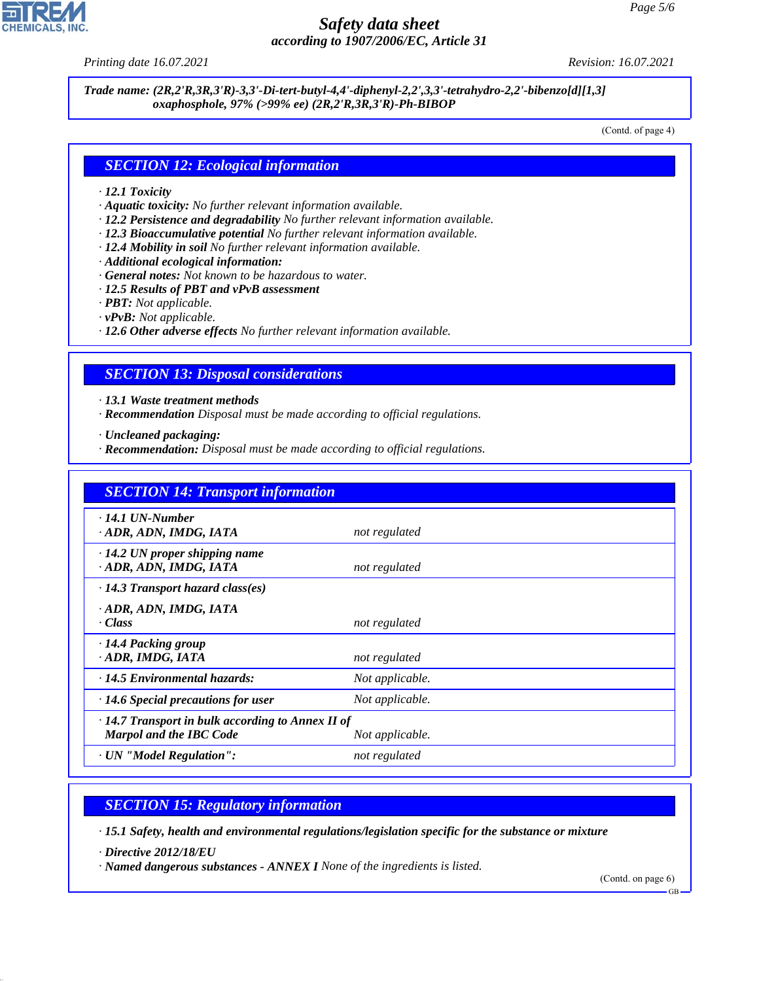*Printing date 16.07.2021 Revision: 16.07.2021*

*Trade name: (2R,2'R,3R,3'R)-3,3'-Di-tert-butyl-4,4'-diphenyl-2,2',3,3'-tetrahydro-2,2'-bibenzo[d][1,3] oxaphosphole, 97% (>99% ee) (2R,2'R,3R,3'R)-Ph-BIBOP*

(Contd. of page 4)

### *SECTION 12: Ecological information*

#### *· 12.1 Toxicity*

- *· Aquatic toxicity: No further relevant information available.*
- *· 12.2 Persistence and degradability No further relevant information available.*
- *· 12.3 Bioaccumulative potential No further relevant information available.*
- *· 12.4 Mobility in soil No further relevant information available.*
- *· Additional ecological information:*
- *· General notes: Not known to be hazardous to water.*
- *· 12.5 Results of PBT and vPvB assessment*
- *· PBT: Not applicable.*
- *· vPvB: Not applicable.*
- *· 12.6 Other adverse effects No further relevant information available.*

#### *SECTION 13: Disposal considerations*

- *· 13.1 Waste treatment methods*
- *· Recommendation Disposal must be made according to official regulations.*

*· Uncleaned packaging:*

*· Recommendation: Disposal must be made according to official regulations.*

| <b>SECTION 14: Transport information</b>                                                  |                 |  |
|-------------------------------------------------------------------------------------------|-----------------|--|
| $\cdot$ 14.1 UN-Number<br>· ADR, ADN, IMDG, IATA                                          | not regulated   |  |
| $\cdot$ 14.2 UN proper shipping name<br>· ADR, ADN, IMDG, IATA                            | not regulated   |  |
| $\cdot$ 14.3 Transport hazard class(es)                                                   |                 |  |
| ADR, ADN, IMDG, IATA<br>· Class                                                           | not regulated   |  |
| $\cdot$ 14.4 Packing group<br>· ADR, IMDG, IATA                                           | not regulated   |  |
| $\cdot$ 14.5 Environmental hazards:                                                       | Not applicable. |  |
| $\cdot$ 14.6 Special precautions for user                                                 | Not applicable. |  |
| $\cdot$ 14.7 Transport in bulk according to Annex II of<br><b>Marpol and the IBC Code</b> | Not applicable. |  |
| · UN "Model Regulation":                                                                  | not regulated   |  |

# *SECTION 15: Regulatory information*

*· 15.1 Safety, health and environmental regulations/legislation specific for the substance or mixture*

*· Directive 2012/18/EU*

44.1.1

*· Named dangerous substances - ANNEX I None of the ingredients is listed.*

(Contd. on page 6)

GB